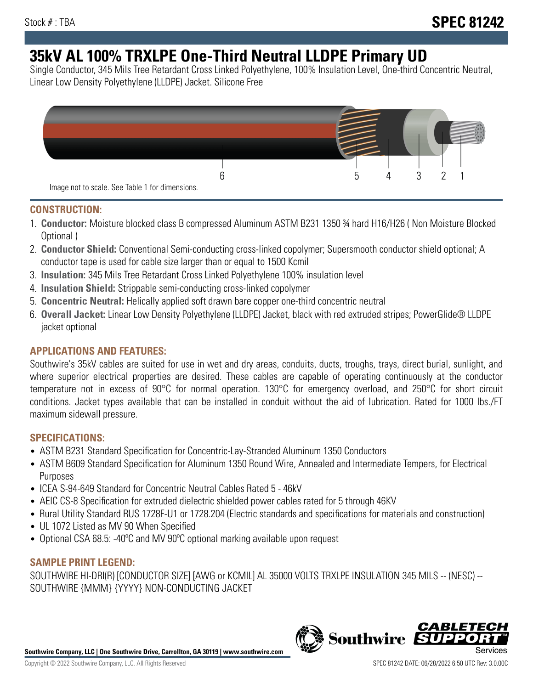# **35kV AL 100% TRXLPE One-Third Neutral LLDPE Primary UD**

Single Conductor, 345 Mils Tree Retardant Cross Linked Polyethylene, 100% Insulation Level, One-third Concentric Neutral, Linear Low Density Polyethylene (LLDPE) Jacket. Silicone Free



### **CONSTRUCTION:**

- 1. **Conductor:** Moisture blocked class B compressed Aluminum ASTM B231 1350 ¾ hard H16/H26 ( Non Moisture Blocked Optional )
- 2. **Conductor Shield:** Conventional Semi-conducting cross-linked copolymer; Supersmooth conductor shield optional; A conductor tape is used for cable size larger than or equal to 1500 Kcmil
- 3. **Insulation:** 345 Mils Tree Retardant Cross Linked Polyethylene 100% insulation level
- 4. **Insulation Shield:** Strippable semi-conducting cross-linked copolymer
- 5. **Concentric Neutral:** Helically applied soft drawn bare copper one-third concentric neutral
- 6. **Overall Jacket:** Linear Low Density Polyethylene (LLDPE) Jacket, black with red extruded stripes; PowerGlide® LLDPE jacket optional

## **APPLICATIONS AND FEATURES:**

Southwire's 35kV cables are suited for use in wet and dry areas, conduits, ducts, troughs, trays, direct burial, sunlight, and where superior electrical properties are desired. These cables are capable of operating continuously at the conductor temperature not in excess of 90°C for normal operation. 130°C for emergency overload, and 250°C for short circuit conditions. Jacket types available that can be installed in conduit without the aid of lubrication. Rated for 1000 lbs./FT maximum sidewall pressure.

### **SPECIFICATIONS:**

- ASTM B231 Standard Specification for Concentric-Lay-Stranded Aluminum 1350 Conductors
- ASTM B609 Standard Specification for Aluminum 1350 Round Wire, Annealed and Intermediate Tempers, for Electrical Purposes
- ICEA S-94-649 Standard for Concentric Neutral Cables Rated 5 46kV
- AEIC CS-8 Specification for extruded dielectric shielded power cables rated for 5 through 46KV
- Rural Utility Standard RUS 1728F-U1 or 1728.204 (Electric standards and specifications for materials and construction)
- UL 1072 Listed as MV 90 When Specified
- Optional CSA 68.5: -40ºC and MV 90ºC optional marking available upon request

### **SAMPLE PRINT LEGEND:**

SOUTHWIRE HI-DRI(R) [CONDUCTOR SIZE] [AWG or KCMIL] AL 35000 VOLTS TRXLPE INSULATION 345 MILS -- (NESC) -- SOUTHWIRE {MMM} {YYYY} NON-CONDUCTING JACKET

**Southwire Company, LLC | One Southwire Drive, Carrollton, GA 30119 | www.southwire.com**

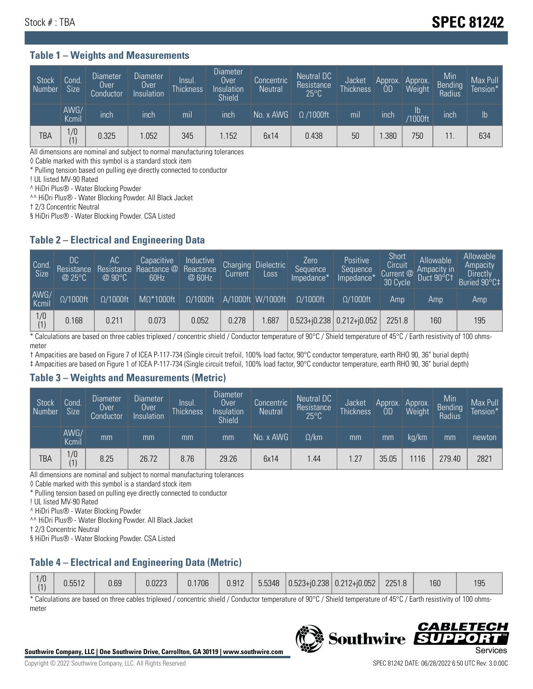# Stock # : TBA **SPEC 81242**

#### **Table 1 – Weights and Measurements**

| Stock<br>Number | Cond<br>Size <sup>'</sup> | <b>Diameter</b><br><b>Over</b><br>Conductor | <b>Diameter</b><br>Over<br>Insulation | Insul.<br><b>Thickness</b> | Diameter<br>Over<br>Insulation<br><b>Shield</b> | Concentric<br><b>Neutral</b> | Neutral DC<br>Resistance<br>$25^{\circ}$ C | Jacket<br><b>Thickness</b> | Approx.<br>OD | Approx.<br>Weight | Min<br><b>Bending</b><br>Radius | Max Pull<br>Tension* |
|-----------------|---------------------------|---------------------------------------------|---------------------------------------|----------------------------|-------------------------------------------------|------------------------------|--------------------------------------------|----------------------------|---------------|-------------------|---------------------------------|----------------------|
|                 | AWG/<br>Kcmil             | inch                                        | inch                                  | mil                        | inch                                            | No. x AWG                    | $\Omega$ /1000ft                           | mil                        | inch          | ID<br>/1000ft     | inch                            | I <sub>b</sub>       |
| TBA             | 1/0<br>(1)                | 0.325                                       | .052                                  | 345                        | .152                                            | 6x14                         | 0.438                                      | 50                         | .380          | 750               |                                 | 634                  |

All dimensions are nominal and subject to normal manufacturing tolerances

◊ Cable marked with this symbol is a standard stock item

\* Pulling tension based on pulling eye directly connected to conductor

! UL listed MV-90 Rated

^ HiDri Plus® - Water Blocking Powder

^^ HiDri Plus® - Water Blocking Powder. All Black Jacket

† 2/3 Concentric Neutral

§ HiDri Plus® - Water Blocking Powder. CSA Listed

### **Table 2 – Electrical and Engineering Data**

| Cond.<br>Size | 'DC.<br>Resistance<br>@25°C | АC<br>Resistance<br>$\varpi$ 90°C | Capacitive<br>Reactance @<br>60Hz | Inductive<br>Reactance<br>@ 60Hz | Charging<br>Current | Dielectric<br>Loss | Zero<br>Sequence<br>Impedance* | Positive<br>Sequence<br>Impedance <sup>®</sup> | Short<br>Circuit<br>Current <sup>@</sup><br>30 Cycle | Allowable<br>Ampacity in<br>Duct 90°C1 | Allowable<br>Ampacity<br>Directly<br>Buried 90°C‡ |
|---------------|-----------------------------|-----------------------------------|-----------------------------------|----------------------------------|---------------------|--------------------|--------------------------------|------------------------------------------------|------------------------------------------------------|----------------------------------------|---------------------------------------------------|
| AWG/<br>Kcmil | $\Omega/1000$ ft            | $\Omega/1000$ ft                  | $M\Omega^*1000$ ft                | $\Omega/1000$ ft                 |                     | A/1000ft W/1000ft  | $\Omega/1000$ ft               | $\Omega$ /1000ft                               | Amp                                                  | Amp                                    | Amp                                               |
| $\frac{1}{0}$ | 0.168                       | 0.211                             | 0.073                             | 0.052                            | 0.278               | .687               | $0.523 + 0.238$ 0.212+ $0.052$ |                                                | 2251.8                                               | 160                                    | 195                                               |

\* Calculations are based on three cables triplexed / concentric shield / Conductor temperature of 90°C / Shield temperature of 45°C / Earth resistivity of 100 ohmsmeter

† Ampacities are based on Figure 7 of ICEA P-117-734 (Single circuit trefoil, 100% load factor, 90°C conductor temperature, earth RHO 90, 36" burial depth)

‡ Ampacities are based on Figure 1 of ICEA P-117-734 (Single circuit trefoil, 100% load factor, 90°C conductor temperature, earth RHO 90, 36" burial depth)

#### **Table 3 – Weights and Measurements (Metric)**

| Stock<br>Number | Cond.<br>Size <sup>1</sup> | <b>Diameter</b><br><b>Over</b><br>Conductor | <b>Diameter</b><br><b>Over</b><br>Insulation | Insul.<br><b>Thickness</b> | <b>Diameter</b><br>Over<br>Insulation<br><b>Shield</b> | Concentric<br><b>Neutral</b> | Neutral DC<br>Resistance<br>$25^{\circ}$ C | Jacket<br><b>Thickness</b> | Approx.<br>OD | Approx.<br>Weight | Min<br>Bending<br>Radius | Max Pull<br>Tension* |
|-----------------|----------------------------|---------------------------------------------|----------------------------------------------|----------------------------|--------------------------------------------------------|------------------------------|--------------------------------------------|----------------------------|---------------|-------------------|--------------------------|----------------------|
|                 | AWG/<br>Kcmil              | mm                                          | mm                                           | mm                         | mm                                                     | No. x AWG                    | $\Omega$ /km                               | mm                         | mm            | ka/km             | mm                       | newton               |
| <b>TBA</b>      | 1/0<br>(1)                 | 8.25                                        | 26.72                                        | 8.76                       | 29.26                                                  | 6x14                         | 1.44                                       | 1.27                       | 35.05         | 116               | 279.40                   | 2821                 |

All dimensions are nominal and subject to normal manufacturing tolerances

◊ Cable marked with this symbol is a standard stock item

\* Pulling tension based on pulling eye directly connected to conductor

! UL listed MV-90 Rated

^ HiDri Plus® - Water Blocking Powder

^^ HiDri Plus® - Water Blocking Powder. All Black Jacket

† 2/3 Concentric Neutral

§ HiDri Plus® - Water Blocking Powder. CSA Listed

## **Table 4 – Electrical and Engineering Data (Metric)**

| 1/0 | 0.5512 | 0.69 | 0.0223 | 0.1706 | 0.912 |  | $\frac{1}{2}$ 5.5348 $\left  0.523 + 0.238 \right  0.212 + 0.052$ | 2251.8 | 160 | 195 |
|-----|--------|------|--------|--------|-------|--|-------------------------------------------------------------------|--------|-----|-----|
|     |        |      |        |        |       |  |                                                                   |        |     |     |

\* Calculations are based on three cables triplexed / concentric shield / Conductor temperature of 90°C / Shield temperature of 45°C / Earth resistivity of 100 ohmsmeter



**Southwire** 

*CABLE* 

DD.